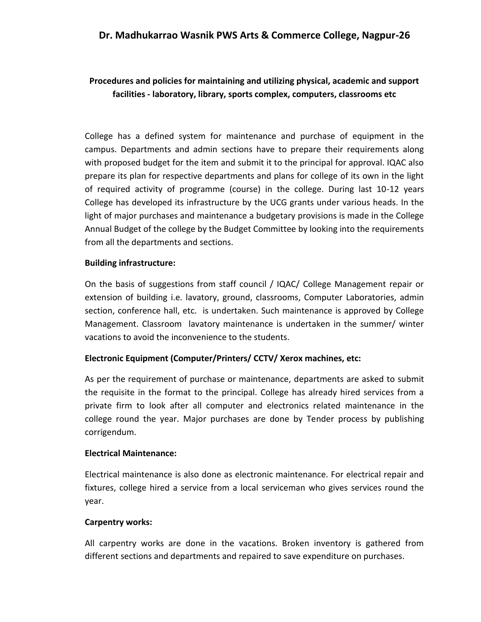## **Dr. Madhukarrao Wasnik PWS Arts & Commerce College, Nagpur-26**

# **Procedures and policies for maintaining and utilizing physical, academic and support facilities - laboratory, library, sports complex, computers, classrooms etc**

College has a defined system for maintenance and purchase of equipment in the campus. Departments and admin sections have to prepare their requirements along with proposed budget for the item and submit it to the principal for approval. IQAC also prepare its plan for respective departments and plans for college of its own in the light of required activity of programme (course) in the college. During last 10-12 years College has developed its infrastructure by the UCG grants under various heads. In the light of major purchases and maintenance a budgetary provisions is made in the College Annual Budget of the college by the Budget Committee by looking into the requirements from all the departments and sections.

#### **Building infrastructure:**

On the basis of suggestions from staff council / IQAC/ College Management repair or extension of building i.e. lavatory, ground, classrooms, Computer Laboratories, admin section, conference hall, etc. is undertaken. Such maintenance is approved by College Management. Classroom lavatory maintenance is undertaken in the summer/ winter vacations to avoid the inconvenience to the students.

#### **Electronic Equipment (Computer/Printers/ CCTV/ Xerox machines, etc:**

As per the requirement of purchase or maintenance, departments are asked to submit the requisite in the format to the principal. College has already hired services from a private firm to look after all computer and electronics related maintenance in the college round the year. Major purchases are done by Tender process by publishing corrigendum.

#### **Electrical Maintenance:**

Electrical maintenance is also done as electronic maintenance. For electrical repair and fixtures, college hired a service from a local serviceman who gives services round the year.

#### **Carpentry works:**

All carpentry works are done in the vacations. Broken inventory is gathered from different sections and departments and repaired to save expenditure on purchases.